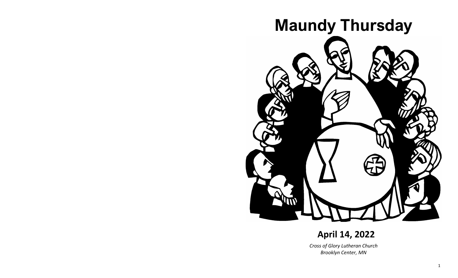

# **April 14, 2022**

*Cross of Glory Lutheran Church Brooklyn Center, MN*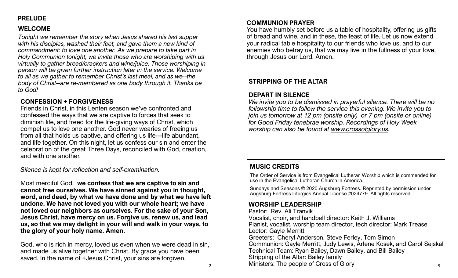# **PRELUDE**

# **WELCOME**

*Tonight we remember the story when Jesus shared his last supper with his disciples, washed their feet, and gave them a new kind of commandment: to love one another. As we prepare to take part in Holy Communion tonight, we invite those who are worshiping with us virtually to gather bread/crackers and wine/juice. Those worshiping in person will be given further instruction later in the service. Welcome to all as we gather to remember Christ's last meal, and as we--the body of Christ--are re-membered as one body through it. Thanks be to God!*

# **CONFESSION + FORGIVENESS**

Friends in Christ, in this Lenten season we've confronted and confessed the ways that we are captive to forces that seek to diminish life, and freed for the life-giving ways of Christ, which compel us to love one another. God never wearies of freeing us from all that holds us captive, and offering us life---life abundant, and life together. On this night, let us confess our sin and enter the celebration of the great Three Days, reconciled with God, creation, and with one another.

*Silence is kept for reflection and self-examination.*

Most merciful God, **we confess that we are captive to sin and cannot free ourselves. We have sinned against you in thought, word, and deed, by what we have done and by what we have left undone. We have not loved you with our whole heart; we have not loved our neighbors as ourselves. For the sake of your Son, Jesus Christ, have mercy on us. Forgive us, renew us, and lead us, so that we may delight in your will and walk in your ways, to the glory of your holy name. Amen.**

God, who is rich in mercy, loved us even when we were dead in sin, and made us alive together with Christ. By grace you have been saved. In the name of +Jesus Christ, your sins are forgiven.

#### **COMMUNION PRAYER**

You have humbly set before us a table of hospitality, offering us gifts of bread and wine, and in these, the feast of life. Let us now extend your radical table hospitality to our friends who love us, and to our enemies who betray us, that we may live in the fullness of your love, through Jesus our Lord. Amen.

# **STRIPPING OF THE ALTAR**

#### **DEPART IN SILENCE**

*We invite you to be dismissed in prayerful silence. There will be no fellowship time to follow the service this evening. We invite you to join us tomorrow at 12 pm (onsite only) or 7 pm (onsite or online) for Good Friday tenebrae worship. Recordings of Holy Week worship can also be found at [www.crossofglory.us.](http://www.crossofglory.us/)* 

# **MUSIC CREDITS**

The Order of Service is from Evangelical Lutheran Worship which is commended for use in the Evangelical Lutheran Church in America.

Sundays and Seasons © 2020 Augsburg Fortress. Reprinted by permission under Augsburg Fortress Liturgies Annual License #024779. All rights reserved.

# **WORSHIP LEADERSHIP**

9 Pastor: Rev. Ali Tranvik Vocalist, choir, and handbell director: Keith J. Williams Pianist, vocalist, worship team director, tech director: Mark Trease Lector: Gayle Merritt Greeters: Cheryl Anderson, Steve Ferley, Tom Simon Communion: Gayle Merritt, Judy Lewis, Arlene Kosek, and Carol Sejskal Technical Team: Ryan Bailey, Dawn Bailey, and Bill Bailey Stripping of the Altar: Bailey family Ministers: The people of Cross of Glory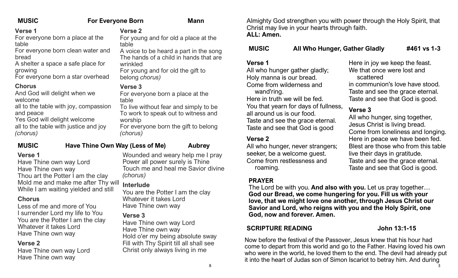#### **MUSIC 6 For Everyone Born Mann**

table

wrinkled

**Verse 3**

worship

*(chorus)*

table

belong *chorus)*

**Verse 1**

**Verse 2**

For everyone born a place at the table

For everyone born clean water and bread

A shelter a space a safe place for growing

For everyone born a star overhead

#### **Chorus**

And God will delight when we welcome all to the table with joy, compassion and peace Yes God will delight welcome all to the table with justice and joy *(chorus)*

#### **MUSIC Have Thine Own Way (Less of Me) Aubrey**

# **Verse 1**

Have Thine own way Lord Have Thine own way Thou art the Potter I am the clay Mold me and make me after Thy will While I am waiting yielded and still

#### **Chorus**

Less of me and more of You I surrender Lord my life to You You are the Potter I am the clay Whatever it takes Lord Have Thine own way

#### **Verse 2**

Have Thine own way Lord Have Thine own way

Wounded and weary help me I pray Power all power surely is Thine Touch me and heal me Savior divine *(chorus)*

For young and for old a place at the

For young and for old the gift to

For everyone born a place at the

To live without fear and simply to be To work to speak out to witness and

For everyone born the gift to belong

A voice to be heard a part in the song The hands of a child in hands that are

# **Interlude**

You are the Potter I am the clay Whatever it takes Lord Have Thine own way

# **Verse 3**

Have Thine own way Lord Have Thine own way Hold o'er my being absolute sway Fill with Thy Spirit till all shall see Christ only always living in me

Almighty God strengthen you with power through the Holy Spirit, that Christ may live in your hearts through faith. **ALL: Amen.**

#### **MUSIC All Who Hunger, Gather Gladly #461 vs 1-3**

scattered

**Verse 3**

Here in joy we keep the feast. We that once were lost and

in communion's love have stood. Taste and see the grace eternal. Taste and see that God is good.

All who hunger, sing together, Jesus Christ is living bread.

live their days in gratitude.

Come from loneliness and longing. Here in peace we have been fed. Blest are those who from this table

Taste and see the grace eternal. Taste and see that God is good.

#### **Verse 1**

All who hunger gather gladly; Holy manna is our bread. Come from wilderness and wand'ring. Here in truth we will be fed. You that yearn for days of fullness, all around us is our food. Taste and see the grace eternal. Taste and see that God is good

# **Verse 2**

All who hunger, never strangers; seeker, be a welcome guest. Come from restlessness and roaming.

# **PRAYER**

The Lord be with you. **And also with you.** Let us pray together… **God our Bread, we come hungering for you. Fill us with your love, that we might love one another, through Jesus Christ our Savior and Lord, who reigns with you and the Holy Spirit, one God, now and forever. Amen.**

# **SCRIPTURE READING John 13:1-15**

3 Now before the festival of the Passover, Jesus knew that his hour had come to depart from this world and go to the Father. Having loved his own who were in the world, he loved them to the end. The devil had already put it into the heart of Judas son of Simon Iscariot to betray him. And during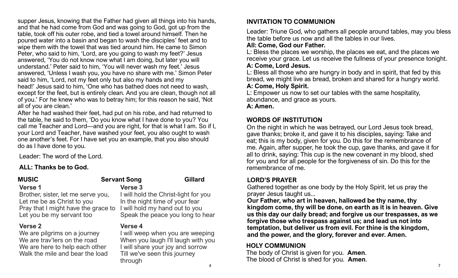supper Jesus, knowing that the Father had given all things into his hands, and that he had come from God and was going to God, got up from the table, took off his outer robe, and tied a towel around himself. Then he poured water into a basin and began to wash the disciples' feet and to wipe them with the towel that was tied around him. He came to Simon Peter, who said to him, 'Lord, are you going to wash my feet?' Jesus answered, 'You do not know now what I am doing, but later you will understand.' Peter said to him, 'You will never wash my feet.' Jesus answered, 'Unless I wash you, you have no share with me.' Simon Peter said to him, 'Lord, not my feet only but also my hands and my head!' Jesus said to him, 'One who has bathed does not need to wash, except for the feet, but is entirely clean. And you are clean, though not all of you.' For he knew who was to betray him; for this reason he said, 'Not all of you are clean.'

After he had washed their feet, had put on his robe, and had returned to the table, he said to them, 'Do you know what I have done to you? You call me Teacher and Lord—and you are right, for that is what I am. So if I, your Lord and Teacher, have washed your feet, you also ought to wash one another's feet. For I have set you an example, that you also should do as I have done to you.

Leader: The word of the Lord.

**ALL: Thanks be to God.**

#### **Verse 1**

Brother, sister, let me serve you, Let me be as Christ to you Pray that I might have the grace to Let you be my servant too

# **Verse 2**

We are pilgrims on a journey We are trav'lers on the road We are here to help each other Walk the mile and bear the load

#### **Verse 3 MUSIC Servant Song Gillard**

I will hold the Christ-light for you In the night time of your fear I will hold my hand out to you Speak the peace you long to hear

#### **Verse 4**

I will weep when you are weeping When you laugh I'll laugh with you I will share your joy and sorrow Till we've seen this journey through

# **INVITATION TO COMMUNION**

Leader: Triune God, who gathers all people around tables, may you bless the table before us now and all the tables in our lives.

# **All: Come, God our Father.**

L: Bless the places we worship, the places we eat, and the places we receive your grace. Let us receive the fullness of your presence tonight. **A: Come, Lord Jesus.**

L: Bless all those who are hungry in body and in spirit, that fed by this bread, we might live as bread, broken and shared for a hungry world. **A: Come, Holy Spirit.** 

L: Empower us now to set our tables with the same hospitality, abundance, and grace as yours.

**A: Amen.**

# **WORDS OF INSTITUTION**

On the night in which he was betrayed, our Lord Jesus took bread, gave thanks; broke it, and gave it to his disciples, saying: Take and eat; this is my body, given for you. Do this for the remembrance of me. Again, after supper, he took the cup, gave thanks, and gave it for all to drink, saying: This cup is the new covenant in my blood, shed for you and for all people for the forgiveness of sin. Do this for the remembrance of me.

#### **LORD'S PRAYER**

Gathered together as one body by the Holy Spirit, let us pray the prayer Jesus taught us...

**Our Father, who art in heaven, hallowed be thy name, thy kingdom come, thy will be done, on earth as it is in heaven. Give us this day our daily bread; and forgive us our trespasses, as we forgive those who trespass against us; and lead us not into temptation, but deliver us from evil. For thine is the kingdom, and the power, and the glory, forever and ever. Amen.** 

# **HOLY COMMUNION**

The body of Christ is given for you. **Amen**. The blood of Christ is shed for you. **Amen**.